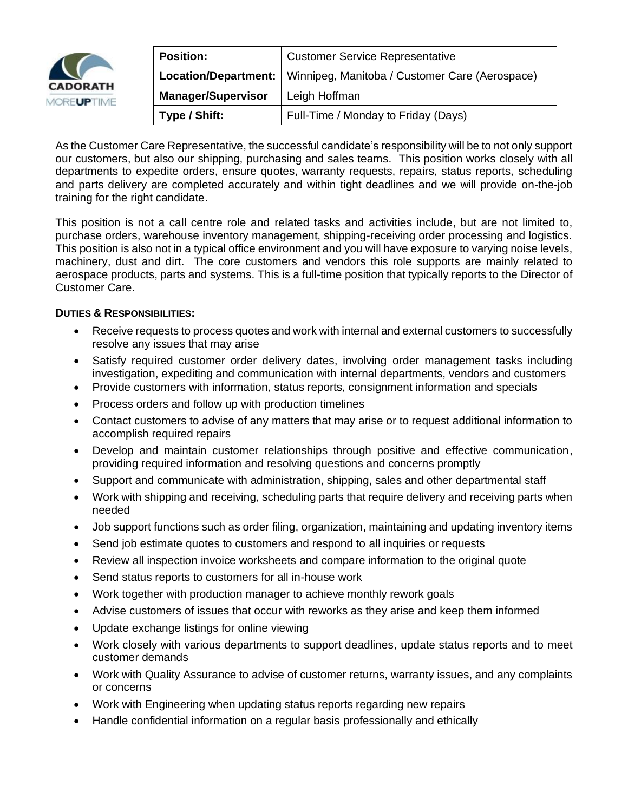

| <b>Position:</b>          | <b>Customer Service Representative</b>                                |
|---------------------------|-----------------------------------------------------------------------|
|                           | Location/Department:   Winnipeg, Manitoba / Customer Care (Aerospace) |
| <b>Manager/Supervisor</b> | Leigh Hoffman                                                         |
| Type / Shift:             | Full-Time / Monday to Friday (Days)                                   |
|                           |                                                                       |

As the Customer Care Representative, the successful candidate's responsibility will be to not only support our customers, but also our shipping, purchasing and sales teams. This position works closely with all departments to expedite orders, ensure quotes, warranty requests, repairs, status reports, scheduling and parts delivery are completed accurately and within tight deadlines and we will provide on-the-job training for the right candidate.

This position is not a call centre role and related tasks and activities include, but are not limited to, purchase orders, warehouse inventory management, shipping-receiving order processing and logistics. This position is also not in a typical office environment and you will have exposure to varying noise levels, machinery, dust and dirt. The core customers and vendors this role supports are mainly related to aerospace products, parts and systems. This is a full-time position that typically reports to the Director of Customer Care.

## **DUTIES & RESPONSIBILITIES:**

- Receive requests to process quotes and work with internal and external customers to successfully resolve any issues that may arise
- Satisfy required customer order delivery dates, involving order management tasks including investigation, expediting and communication with internal departments, vendors and customers
- Provide customers with information, status reports, consignment information and specials
- Process orders and follow up with production timelines
- Contact customers to advise of any matters that may arise or to request additional information to accomplish required repairs
- Develop and maintain customer relationships through positive and effective communication, providing required information and resolving questions and concerns promptly
- Support and communicate with administration, shipping, sales and other departmental staff
- Work with shipping and receiving, scheduling parts that require delivery and receiving parts when needed
- Job support functions such as order filing, organization, maintaining and updating inventory items
- Send job estimate quotes to customers and respond to all inquiries or requests
- Review all inspection invoice worksheets and compare information to the original quote
- Send status reports to customers for all in-house work
- Work together with production manager to achieve monthly rework goals
- Advise customers of issues that occur with reworks as they arise and keep them informed
- Update exchange listings for online viewing
- Work closely with various departments to support deadlines, update status reports and to meet customer demands
- Work with Quality Assurance to advise of customer returns, warranty issues, and any complaints or concerns
- Work with Engineering when updating status reports regarding new repairs
- Handle confidential information on a regular basis professionally and ethically